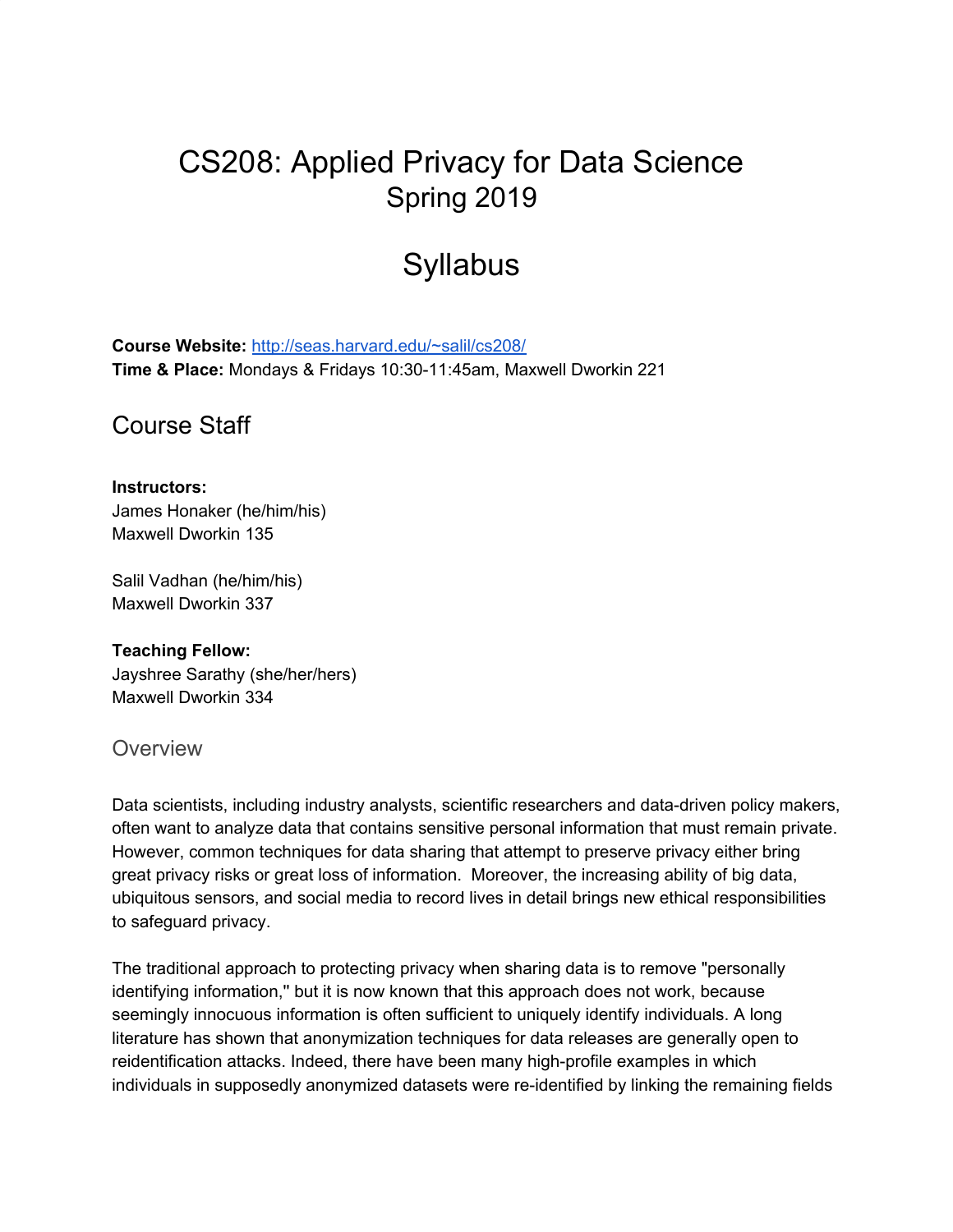# CS208: Applied Privacy for Data Science Spring 2019

# **Syllabus**

**Course Website:** <http://seas.harvard.edu/~salil/cs208/> **Time & Place:** Mondays & Fridays 10:30-11:45am, Maxwell Dworkin 221

Course Staff

#### **Instructors:**

James Honaker (he/him/his) Maxwell Dworkin 135

Salil Vadhan (he/him/his) Maxwell Dworkin 337

**Teaching Fellow:** Jayshree Sarathy (she/her/hers) Maxwell Dworkin 334

#### **Overview**

Data scientists, including industry analysts, scientific researchers and data-driven policy makers, often want to analyze data that contains sensitive personal information that must remain private. However, common techniques for data sharing that attempt to preserve privacy either bring great privacy risks or great loss of information. Moreover, the increasing ability of big data, ubiquitous sensors, and social media to record lives in detail brings new ethical responsibilities to safeguard privacy.

The traditional approach to protecting privacy when sharing data is to remove "personally identifying information,'' but it is now known that this approach does not work, because seemingly innocuous information is often sufficient to uniquely identify individuals. A long literature has shown that anonymization techniques for data releases are generally open to reidentification attacks. Indeed, there have been many high-profile examples in which individuals in supposedly anonymized datasets were re-identified by linking the remaining fields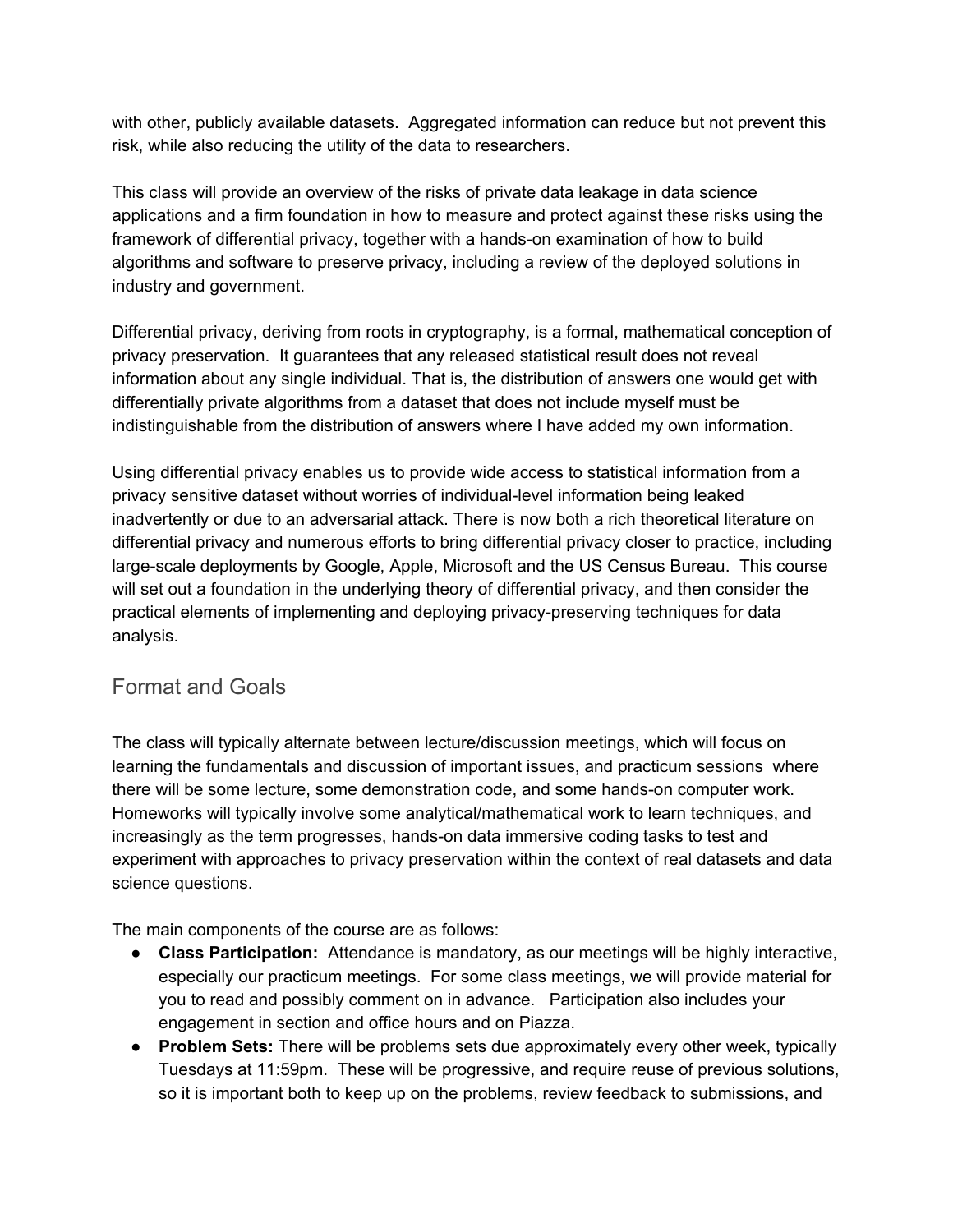with other, publicly available datasets. Aggregated information can reduce but not prevent this risk, while also reducing the utility of the data to researchers.

This class will provide an overview of the risks of private data leakage in data science applications and a firm foundation in how to measure and protect against these risks using the framework of differential privacy, together with a hands-on examination of how to build algorithms and software to preserve privacy, including a review of the deployed solutions in industry and government.

Differential privacy, deriving from roots in cryptography, is a formal, mathematical conception of privacy preservation. It guarantees that any released statistical result does not reveal information about any single individual. That is, the distribution of answers one would get with differentially private algorithms from a dataset that does not include myself must be indistinguishable from the distribution of answers where I have added my own information.

Using differential privacy enables us to provide wide access to statistical information from a privacy sensitive dataset without worries of individual-level information being leaked inadvertently or due to an adversarial attack. There is now both a rich theoretical literature on differential privacy and numerous efforts to bring differential privacy closer to practice, including large-scale deployments by Google, Apple, Microsoft and the US Census Bureau. This course will set out a foundation in the underlying theory of differential privacy, and then consider the practical elements of implementing and deploying privacy-preserving techniques for data analysis.

## Format and Goals

The class will typically alternate between lecture/discussion meetings, which will focus on learning the fundamentals and discussion of important issues, and practicum sessions where there will be some lecture, some demonstration code, and some hands-on computer work. Homeworks will typically involve some analytical/mathematical work to learn techniques, and increasingly as the term progresses, hands-on data immersive coding tasks to test and experiment with approaches to privacy preservation within the context of real datasets and data science questions.

The main components of the course are as follows:

- **Class Participation:** Attendance is mandatory, as our meetings will be highly interactive, especially our practicum meetings. For some class meetings, we will provide material for you to read and possibly comment on in advance. Participation also includes your engagement in section and office hours and on Piazza.
- **Problem Sets:** There will be problems sets due approximately every other week, typically Tuesdays at 11:59pm. These will be progressive, and require reuse of previous solutions, so it is important both to keep up on the problems, review feedback to submissions, and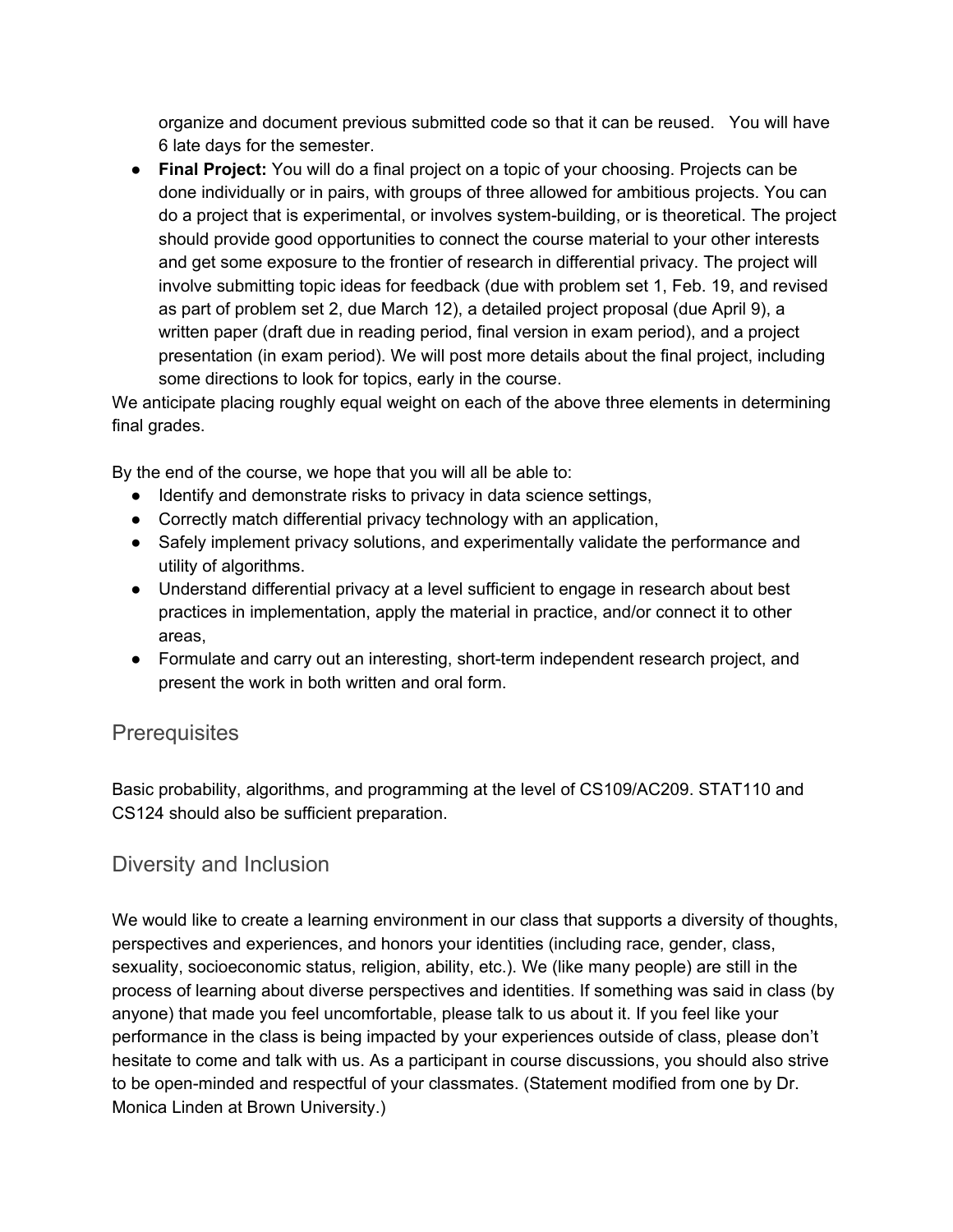organize and document previous submitted code so that it can be reused. You will have 6 late days for the semester.

● **Final Project:** You will do a final project on a topic of your choosing. Projects can be done individually or in pairs, with groups of three allowed for ambitious projects. You can do a project that is experimental, or involves system-building, or is theoretical. The project should provide good opportunities to connect the course material to your other interests and get some exposure to the frontier of research in differential privacy. The project will involve submitting topic ideas for feedback (due with problem set 1, Feb. 19, and revised as part of problem set 2, due March 12), a detailed project proposal (due April 9), a written paper (draft due in reading period, final version in exam period), and a project presentation (in exam period). We will post more details about the final project, including some directions to look for topics, early in the course.

We anticipate placing roughly equal weight on each of the above three elements in determining final grades.

By the end of the course, we hope that you will all be able to:

- Identify and demonstrate risks to privacy in data science settings,
- Correctly match differential privacy technology with an application,
- Safely implement privacy solutions, and experimentally validate the performance and utility of algorithms.
- Understand differential privacy at a level sufficient to engage in research about best practices in implementation, apply the material in practice, and/or connect it to other areas,
- Formulate and carry out an interesting, short-term independent research project, and present the work in both written and oral form.

## **Prerequisites**

Basic probability, algorithms, and programming at the level of CS109/AC209. STAT110 and CS124 should also be sufficient preparation.

## Diversity and Inclusion

We would like to create a learning environment in our class that supports a diversity of thoughts, perspectives and experiences, and honors your identities (including race, gender, class, sexuality, socioeconomic status, religion, ability, etc.). We (like many people) are still in the process of learning about diverse perspectives and identities. If something was said in class (by anyone) that made you feel uncomfortable, please talk to us about it. If you feel like your performance in the class is being impacted by your experiences outside of class, please don't hesitate to come and talk with us. As a participant in course discussions, you should also strive to be open-minded and respectful of your classmates. (Statement modified from one by Dr. Monica Linden at Brown University.)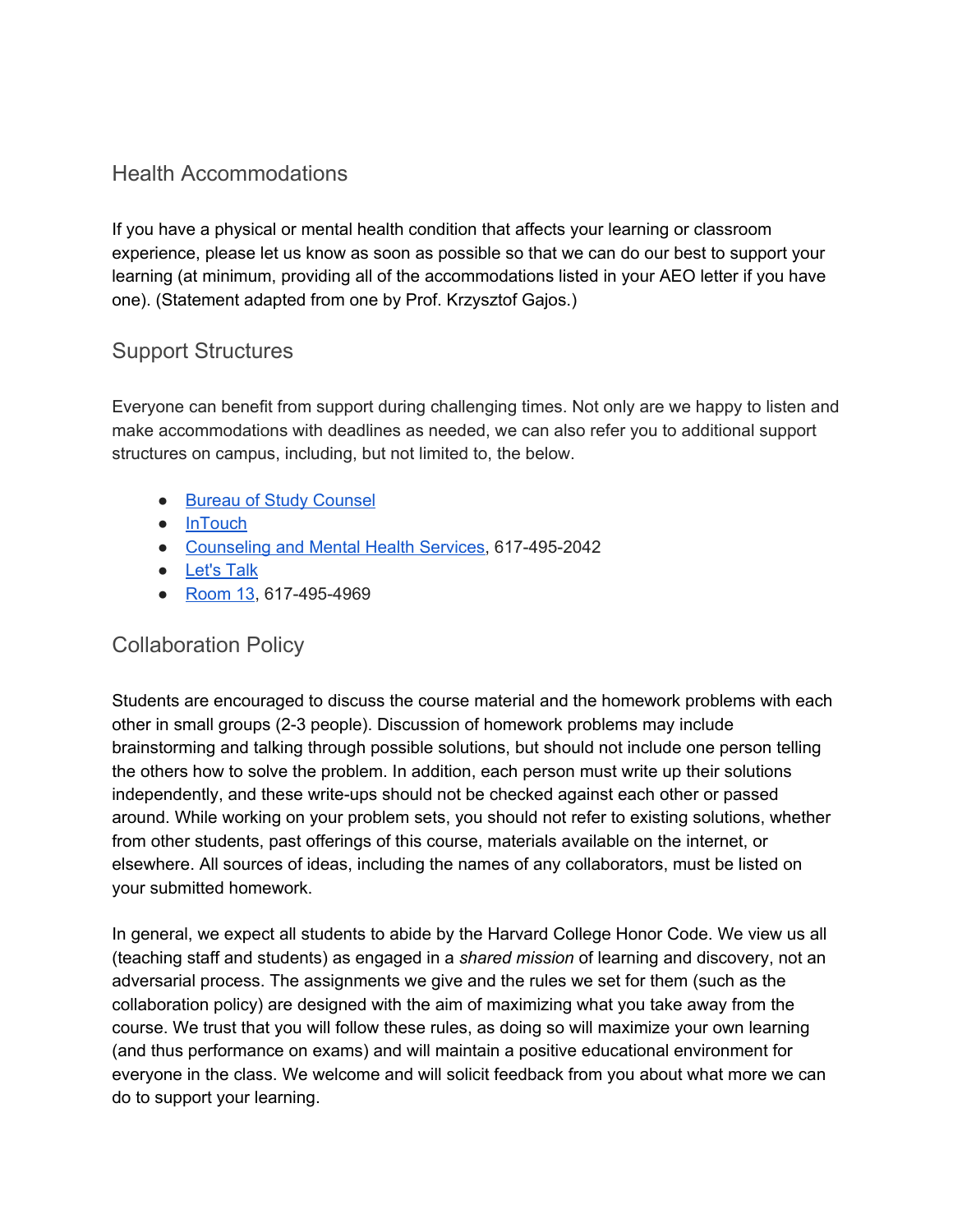### Health Accommodations

If you have a physical or mental health condition that affects your learning or classroom experience, please let us know as soon as possible so that we can do our best to support your learning (at minimum, providing all of the accommodations listed in your AEO letter if you have one). (Statement adapted from one by Prof. Krzysztof Gajos.)

#### Support Structures

Everyone can benefit from support during challenging times. Not only are we happy to listen and make accommodations with deadlines as needed, we can also refer you to additional support structures on campus, including, but not limited to, the below.

- Bureau of Study [Counsel](https://bsc.harvard.edu/)
- [InTouch](https://intouch.seas.harvard.edu/)
- [Counseling](https://huhs.harvard.edu/services/counseling-and-mental-health) and Mental Health Services, 617-495-2042
- [Let's](https://huhs.harvard.edu/lets-talk) Talk
- [Room](http://www.hcs.harvard.edu/room13) 13, 617-495-4969

#### Collaboration Policy

Students are encouraged to discuss the course material and the homework problems with each other in small groups (2-3 people). Discussion of homework problems may include brainstorming and talking through possible solutions, but should not include one person telling the others how to solve the problem. In addition, each person must write up their solutions independently, and these write-ups should not be checked against each other or passed around. While working on your problem sets, you should not refer to existing solutions, whether from other students, past offerings of this course, materials available on the internet, or elsewhere. All sources of ideas, including the names of any collaborators, must be listed on your submitted homework.

In general, we expect all students to abide by the Harvard College Honor Code. We view us all (teaching staff and students) as engaged in a *shared mission* of learning and discovery, not an adversarial process. The assignments we give and the rules we set for them (such as the collaboration policy) are designed with the aim of maximizing what you take away from the course. We trust that you will follow these rules, as doing so will maximize your own learning (and thus performance on exams) and will maintain a positive educational environment for everyone in the class. We welcome and will solicit feedback from you about what more we can do to support your learning.